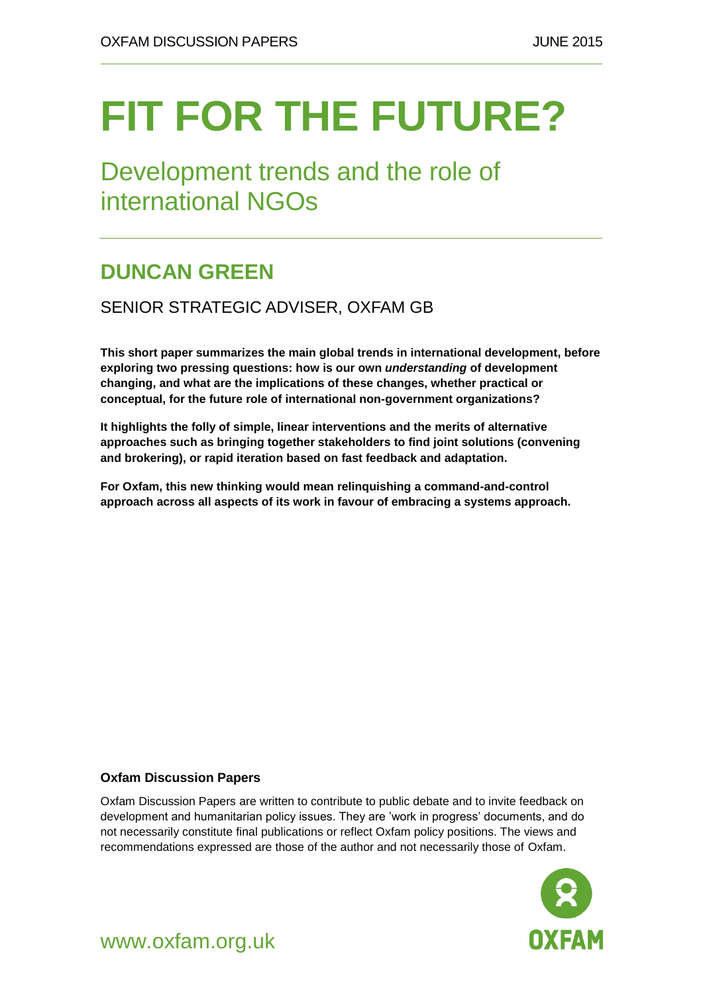# **FIT FOR THE FUTURE?**

Development trends and the role of international NGOs

### **DUNCAN GREEN**

#### SENIOR STRATEGIC ADVISER, OXFAM GB

**This short paper summarizes the main global trends in international development, before exploring two pressing questions: how is our own** *understanding* **of development changing, and what are the implications of these changes, whether practical or conceptual, for the future role of international non-government organizations?**

**It highlights the folly of simple, linear interventions and the merits of alternative approaches such as bringing together stakeholders to find joint solutions (convening and brokering), or rapid iteration based on fast feedback and adaptation.**

**For Oxfam, this new thinking would mean relinquishing a command-and-control approach across all aspects of its work in favour of embracing a systems approach.**

#### **Oxfam Discussion Papers**

Oxfam Discussion Papers are written to contribute to public debate and to invite feedback on development and humanitarian policy issues. They are 'work in progress' documents, and do not necessarily constitute final publications or reflect Oxfam policy positions. The views and recommendations expressed are those of the author and not necessarily those of Oxfam.



#### www.oxfam.org.uk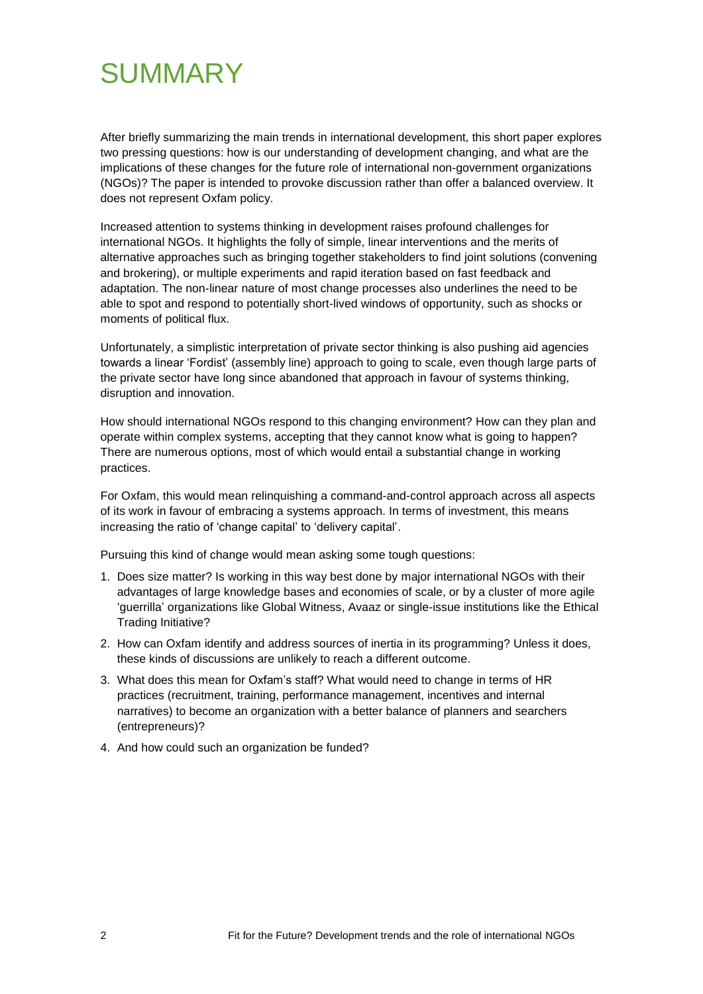## SUMMARY

After briefly summarizing the main trends in international development, this short paper explores two pressing questions: how is our understanding of development changing, and what are the implications of these changes for the future role of international non-government organizations (NGOs)? The paper is intended to provoke discussion rather than offer a balanced overview. It does not represent Oxfam policy.

Increased attention to systems thinking in development raises profound challenges for international NGOs. It highlights the folly of simple, linear interventions and the merits of alternative approaches such as bringing together stakeholders to find joint solutions (convening and brokering), or multiple experiments and rapid iteration based on fast feedback and adaptation. The non-linear nature of most change processes also underlines the need to be able to spot and respond to potentially short-lived windows of opportunity, such as shocks or moments of political flux.

Unfortunately, a simplistic interpretation of private sector thinking is also pushing aid agencies towards a linear 'Fordist' (assembly line) approach to going to scale, even though large parts of the private sector have long since abandoned that approach in favour of systems thinking, disruption and innovation.

How should international NGOs respond to this changing environment? How can they plan and operate within complex systems, accepting that they cannot know what is going to happen? There are numerous options, most of which would entail a substantial change in working practices.

For Oxfam, this would mean relinquishing a command-and-control approach across all aspects of its work in favour of embracing a systems approach. In terms of investment, this means increasing the ratio of 'change capital' to 'delivery capital'.

Pursuing this kind of change would mean asking some tough questions:

- 1. Does size matter? Is working in this way best done by major international NGOs with their advantages of large knowledge bases and economies of scale, or by a cluster of more agile ‗guerrilla' organizations like Global Witness, Avaaz or single-issue institutions like the Ethical Trading Initiative?
- 2. How can Oxfam identify and address sources of inertia in its programming? Unless it does, these kinds of discussions are unlikely to reach a different outcome.
- 3. What does this mean for Oxfam's staff? What would need to change in terms of HR practices (recruitment, training, performance management, incentives and internal narratives) to become an organization with a better balance of planners and searchers (entrepreneurs)?
- 4. And how could such an organization be funded?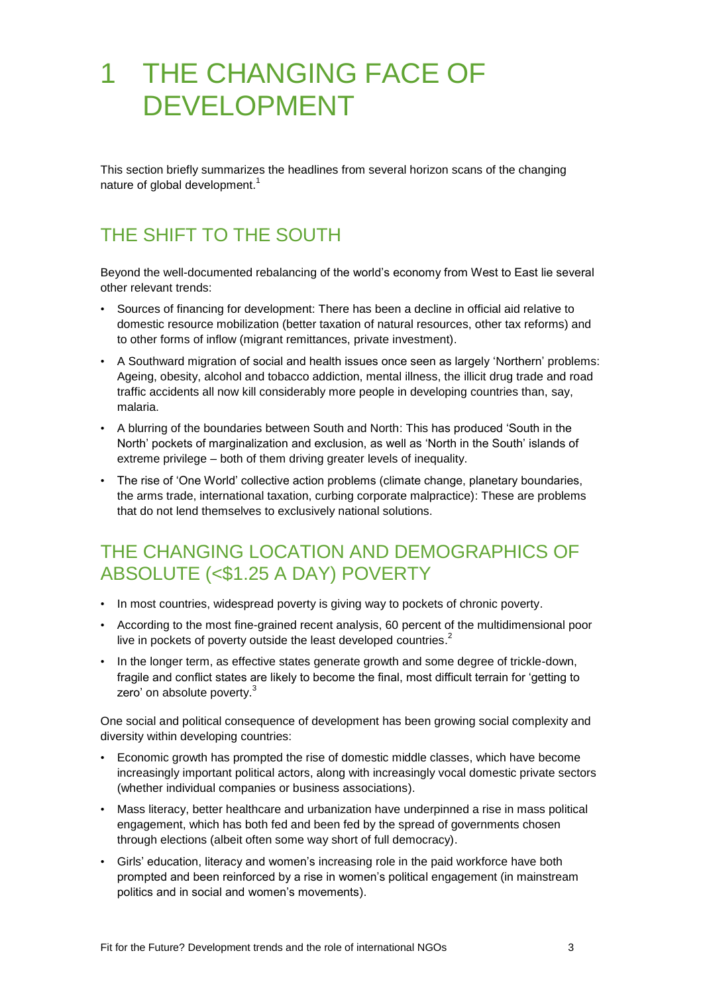# 1 THE CHANGING FACE OF DEVELOPMENT

This section briefly summarizes the headlines from several horizon scans of the changing nature of global development.<sup>1</sup>

### THE SHIFT TO THE SOUTH

Beyond the well-documented rebalancing of the world's economy from West to East lie several other relevant trends:

- Sources of financing for development: There has been a decline in official aid relative to domestic resource mobilization (better taxation of natural resources, other tax reforms) and to other forms of inflow (migrant remittances, private investment).
- A Southward migration of social and health issues once seen as largely 'Northern' problems: Ageing, obesity, alcohol and tobacco addiction, mental illness, the illicit drug trade and road traffic accidents all now kill considerably more people in developing countries than, say, malaria.
- A blurring of the boundaries between South and North: This has produced 'South in the North' pockets of marginalization and exclusion, as well as 'North in the South' islands of extreme privilege – both of them driving greater levels of inequality.
- The rise of 'One World' collective action problems (climate change, planetary boundaries, the arms trade, international taxation, curbing corporate malpractice): These are problems that do not lend themselves to exclusively national solutions.

#### THE CHANGING LOCATION AND DEMOGRAPHICS OF ABSOLUTE (<\$1.25 A DAY) POVERTY

- In most countries, widespread poverty is giving way to pockets of chronic poverty.
- According to the most fine-grained recent analysis, 60 percent of the multidimensional poor live in pockets of poverty outside the least developed countries. $^{2}$
- In the longer term, as effective states generate growth and some degree of trickle-down, fragile and conflict states are likely to become the final, most difficult terrain for 'getting to zero' on absolute poverty.<sup>3</sup>

One social and political consequence of development has been growing social complexity and diversity within developing countries:

- Economic growth has prompted the rise of domestic middle classes, which have become increasingly important political actors, along with increasingly vocal domestic private sectors (whether individual companies or business associations).
- Mass literacy, better healthcare and urbanization have underpinned a rise in mass political engagement, which has both fed and been fed by the spread of governments chosen through elections (albeit often some way short of full democracy).
- Girls' education, literacy and women's increasing role in the paid workforce have both prompted and been reinforced by a rise in women's political engagement (in mainstream politics and in social and women's movements).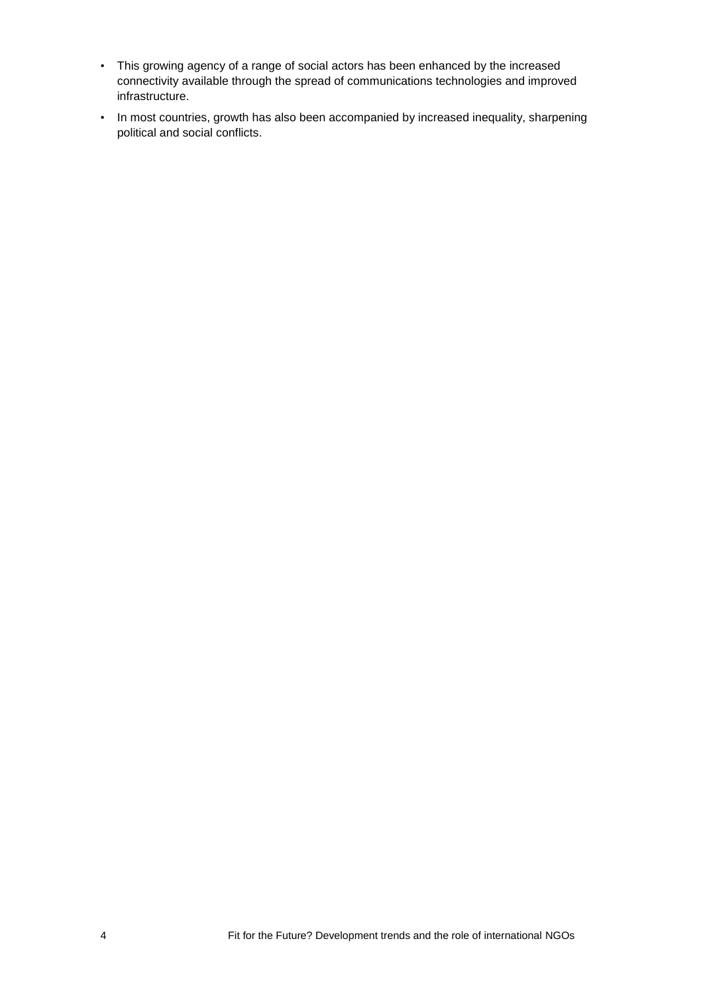- This growing agency of a range of social actors has been enhanced by the increased connectivity available through the spread of communications technologies and improved infrastructure.
- In most countries, growth has also been accompanied by increased inequality, sharpening political and social conflicts.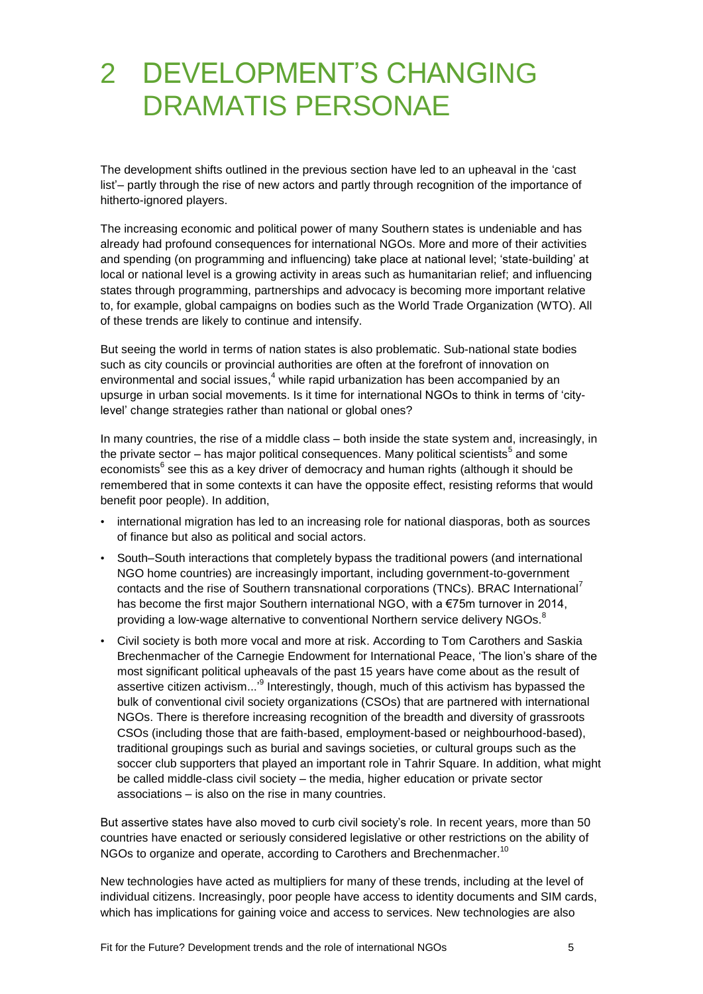# 2 DEVELOPMENT'S CHANGING DRAMATIS PERSONAE

The development shifts outlined in the previous section have led to an upheaval in the 'cast list'– partly through the rise of new actors and partly through recognition of the importance of hitherto-ignored players.

The increasing economic and political power of many Southern states is undeniable and has already had profound consequences for international NGOs. More and more of their activities and spending (on programming and influencing) take place at national level; 'state-building' at local or national level is a growing activity in areas such as humanitarian relief; and influencing states through programming, partnerships and advocacy is becoming more important relative to, for example, global campaigns on bodies such as the World Trade Organization (WTO). All of these trends are likely to continue and intensify.

But seeing the world in terms of nation states is also problematic. Sub-national state bodies such as city councils or provincial authorities are often at the forefront of innovation on environmental and social issues, $<sup>4</sup>$  while rapid urbanization has been accompanied by an</sup> upsurge in urban social movements. Is it time for international NGOs to think in terms of ‗citylevel' change strategies rather than national or global ones?

In many countries, the rise of a middle class – both inside the state system and, increasingly, in the private sector – has major political consequences. Many political scientists<sup>5</sup> and some economists<sup>6</sup> see this as a key driver of democracy and human rights (although it should be remembered that in some contexts it can have the opposite effect, resisting reforms that would benefit poor people). In addition,

- international migration has led to an increasing role for national diasporas, both as sources of finance but also as political and social actors.
- South–South interactions that completely bypass the traditional powers (and international NGO home countries) are increasingly important, including government-to-government contacts and the rise of Southern transnational corporations (TNCs). BRAC International<sup>7</sup> has become the first major Southern international NGO, with a €75m turnover in 2014, providing a low-wage alternative to conventional Northern service delivery NGOs.<sup>8</sup>
- Civil society is both more vocal and more at risk. According to Tom Carothers and Saskia Brechenmacher of the Carnegie Endowment for International Peace, 'The lion's share of the most significant political upheavals of the past 15 years have come about as the result of assertive citizen activism...<sup>,9</sup> Interestingly, though, much of this activism has bypassed the bulk of conventional civil society organizations (CSOs) that are partnered with international NGOs. There is therefore increasing recognition of the breadth and diversity of grassroots CSOs (including those that are faith-based, employment-based or neighbourhood-based), traditional groupings such as burial and savings societies, or cultural groups such as the soccer club supporters that played an important role in Tahrir Square. In addition, what might be called middle-class civil society – the media, higher education or private sector associations – is also on the rise in many countries.

But assertive states have also moved to curb civil society's role. In recent years, more than 50 countries have enacted or seriously considered legislative or other restrictions on the ability of NGOs to organize and operate, according to Carothers and Brechenmacher.<sup>10</sup>

New technologies have acted as multipliers for many of these trends, including at the level of individual citizens. Increasingly, poor people have access to identity documents and SIM cards, which has implications for gaining voice and access to services. New technologies are also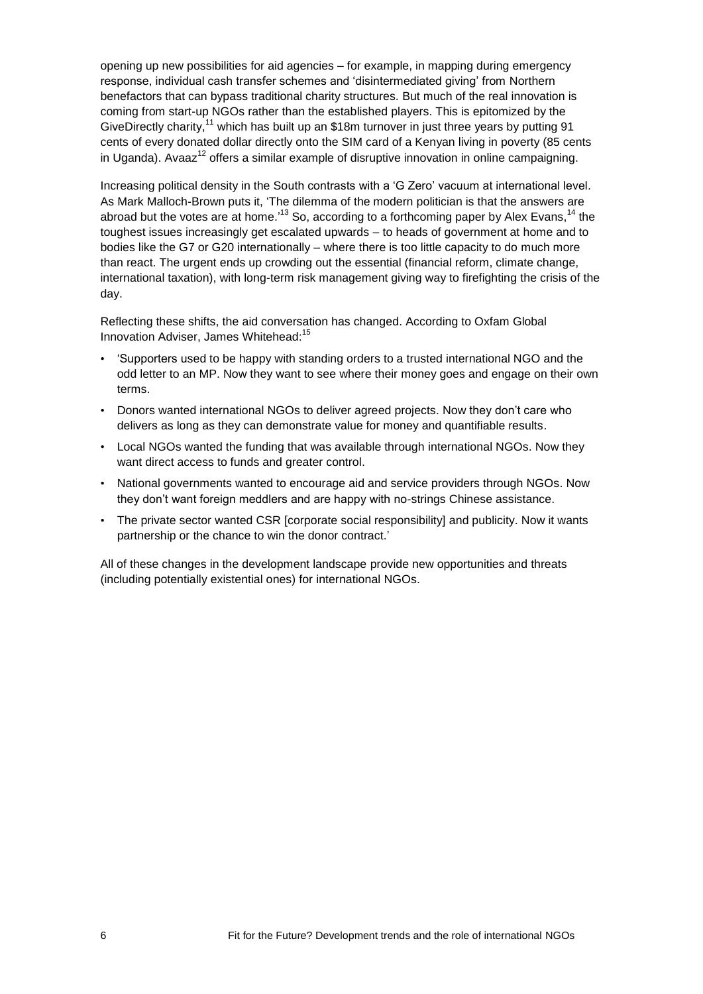opening up new possibilities for aid agencies – for example, in mapping during emergency response, individual cash transfer schemes and 'disintermediated giving' from Northern benefactors that can bypass traditional charity structures. But much of the real innovation is coming from start-up NGOs rather than the established players. This is epitomized by the GiveDirectly charity,<sup>11</sup> which has built up an \$18m turnover in just three years by putting 91 cents of every donated dollar directly onto the SIM card of a Kenyan living in poverty (85 cents in Uganda). Avaaz<sup>12</sup> offers a similar example of disruptive innovation in online campaigning.

Increasing political density in the South contrasts with a 'G Zero' vacuum at international level. As Mark Malloch-Brown puts it, 'The dilemma of the modern politician is that the answers are abroad but the votes are at home.<sup>13</sup> So, according to a forthcoming paper by Alex Evans,<sup>14</sup> the toughest issues increasingly get escalated upwards – to heads of government at home and to bodies like the G7 or G20 internationally – where there is too little capacity to do much more than react. The urgent ends up crowding out the essential (financial reform, climate change, international taxation), with long-term risk management giving way to firefighting the crisis of the day.

Reflecting these shifts, the aid conversation has changed. According to Oxfam Global Innovation Adviser, James Whitehead:<sup>15</sup>

- ‗Supporters used to be happy with standing orders to a trusted international NGO and the odd letter to an MP. Now they want to see where their money goes and engage on their own terms.
- Donors wanted international NGOs to deliver agreed projects. Now they don't care who delivers as long as they can demonstrate value for money and quantifiable results.
- Local NGOs wanted the funding that was available through international NGOs. Now they want direct access to funds and greater control.
- National governments wanted to encourage aid and service providers through NGOs. Now they don't want foreign meddlers and are happy with no-strings Chinese assistance.
- The private sector wanted CSR [corporate social responsibility] and publicity. Now it wants partnership or the chance to win the donor contract.'

All of these changes in the development landscape provide new opportunities and threats (including potentially existential ones) for international NGOs.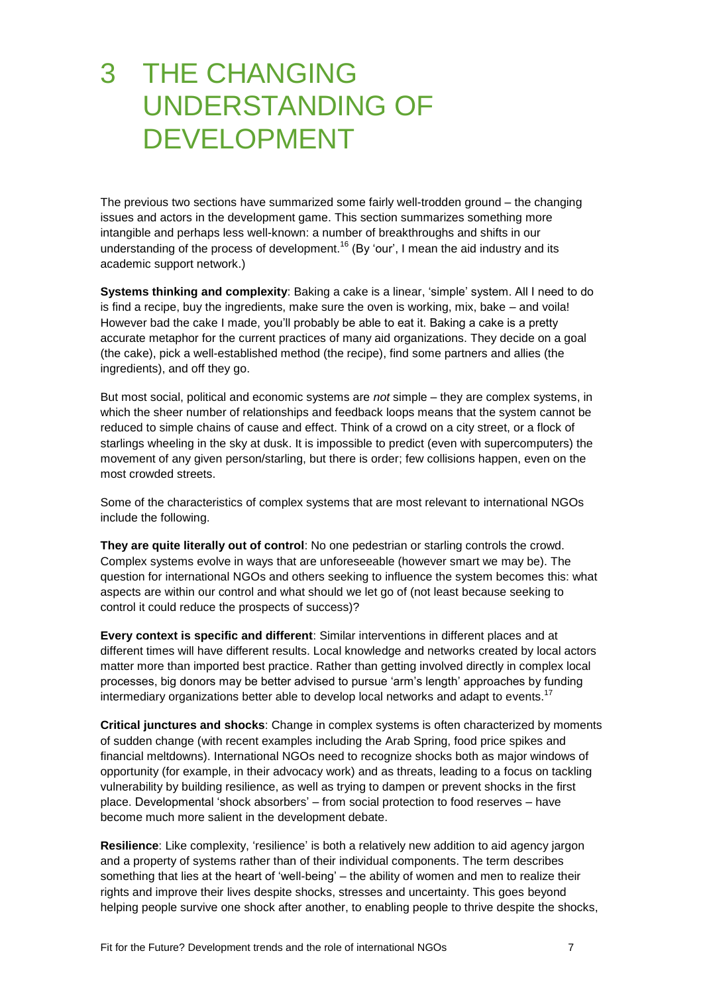### 3 THE CHANGING UNDERSTANDING OF DEVELOPMENT

The previous two sections have summarized some fairly well-trodden ground – the changing issues and actors in the development game. This section summarizes something more intangible and perhaps less well-known: a number of breakthroughs and shifts in our understanding of the process of development.<sup>16</sup> (By 'our', I mean the aid industry and its academic support network.)

**Systems thinking and complexity:** Baking a cake is a linear, 'simple' system. All I need to do is find a recipe, buy the ingredients, make sure the oven is working, mix, bake – and voila! However bad the cake I made, you'll probably be able to eat it. Baking a cake is a pretty accurate metaphor for the current practices of many aid organizations. They decide on a goal (the cake), pick a well-established method (the recipe), find some partners and allies (the ingredients), and off they go.

But most social, political and economic systems are *not* simple – they are complex systems, in which the sheer number of relationships and feedback loops means that the system cannot be reduced to simple chains of cause and effect. Think of a crowd on a city street, or a flock of starlings wheeling in the sky at dusk. It is impossible to predict (even with supercomputers) the movement of any given person/starling, but there is order; few collisions happen, even on the most crowded streets.

Some of the characteristics of complex systems that are most relevant to international NGOs include the following.

**They are quite literally out of control**: No one pedestrian or starling controls the crowd. Complex systems evolve in ways that are unforeseeable (however smart we may be). The question for international NGOs and others seeking to influence the system becomes this: what aspects are within our control and what should we let go of (not least because seeking to control it could reduce the prospects of success)?

**Every context is specific and different**: Similar interventions in different places and at different times will have different results. Local knowledge and networks created by local actors matter more than imported best practice. Rather than getting involved directly in complex local processes, big donors may be better advised to pursue 'arm's length' approaches by funding intermediary organizations better able to develop local networks and adapt to events.<sup>17</sup>

**Critical junctures and shocks**: Change in complex systems is often characterized by moments of sudden change (with recent examples including the Arab Spring, food price spikes and financial meltdowns). International NGOs need to recognize shocks both as major windows of opportunity (for example, in their advocacy work) and as threats, leading to a focus on tackling vulnerability by building resilience, as well as trying to dampen or prevent shocks in the first place. Developmental 'shock absorbers' – from social protection to food reserves – have become much more salient in the development debate.

**Resilience**: Like complexity, 'resilience' is both a relatively new addition to aid agency jargon and a property of systems rather than of their individual components. The term describes something that lies at the heart of 'well-being' – the ability of women and men to realize their rights and improve their lives despite shocks, stresses and uncertainty. This goes beyond helping people survive one shock after another, to enabling people to thrive despite the shocks,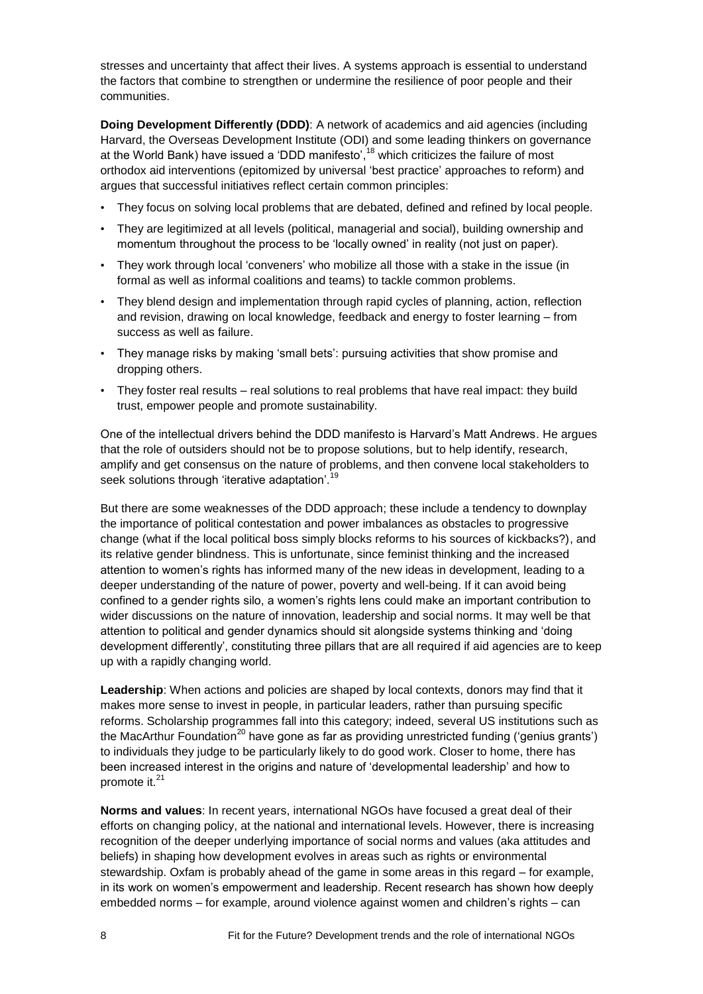stresses and uncertainty that affect their lives. A systems approach is essential to understand the factors that combine to strengthen or undermine the resilience of poor people and their communities.

**Doing Development Differently (DDD)**: A network of academics and aid agencies (including Harvard, the Overseas Development Institute (ODI) and some leading thinkers on governance at the World Bank) have issued a 'DDD manifesto',<sup>18</sup> which criticizes the failure of most orthodox aid interventions (epitomized by universal 'best practice' approaches to reform) and argues that successful initiatives reflect certain common principles:

- They focus on solving local problems that are debated, defined and refined by local people.
- They are legitimized at all levels (political, managerial and social), building ownership and momentum throughout the process to be 'locally owned' in reality (not just on paper).
- They work through local ‗conveners' who mobilize all those with a stake in the issue (in formal as well as informal coalitions and teams) to tackle common problems.
- They blend design and implementation through rapid cycles of planning, action, reflection and revision, drawing on local knowledge, feedback and energy to foster learning – from success as well as failure.
- They manage risks by making 'small bets': pursuing activities that show promise and dropping others.
- They foster real results real solutions to real problems that have real impact: they build trust, empower people and promote sustainability.

One of the intellectual drivers behind the DDD manifesto is Harvard's Matt Andrews. He argues that the role of outsiders should not be to propose solutions, but to help identify, research, amplify and get consensus on the nature of problems, and then convene local stakeholders to seek solutions through 'iterative adaptation'.<sup>19</sup>

But there are some weaknesses of the DDD approach; these include a tendency to downplay the importance of political contestation and power imbalances as obstacles to progressive change (what if the local political boss simply blocks reforms to his sources of kickbacks?), and its relative gender blindness. This is unfortunate, since feminist thinking and the increased attention to women's rights has informed many of the new ideas in development, leading to a deeper understanding of the nature of power, poverty and well-being. If it can avoid being confined to a gender rights silo, a women's rights lens could make an important contribution to wider discussions on the nature of innovation, leadership and social norms. It may well be that attention to political and gender dynamics should sit alongside systems thinking and 'doing development differently', constituting three pillars that are all required if aid agencies are to keep up with a rapidly changing world.

**Leadership**: When actions and policies are shaped by local contexts, donors may find that it makes more sense to invest in people, in particular leaders, rather than pursuing specific reforms. Scholarship programmes fall into this category; indeed, several US institutions such as the MacArthur Foundation<sup>20</sup> have gone as far as providing unrestricted funding ('genius grants') to individuals they judge to be particularly likely to do good work. Closer to home, there has been increased interest in the origins and nature of ‗developmental leadership' and how to promote it.<sup>21</sup>

**Norms and values**: In recent years, international NGOs have focused a great deal of their efforts on changing policy, at the national and international levels. However, there is increasing recognition of the deeper underlying importance of social norms and values (aka attitudes and beliefs) in shaping how development evolves in areas such as rights or environmental stewardship. Oxfam is probably ahead of the game in some areas in this regard – for example, in its work on women's empowerment and leadership. Recent research has shown how deeply embedded norms – for example, around violence against women and children's rights – can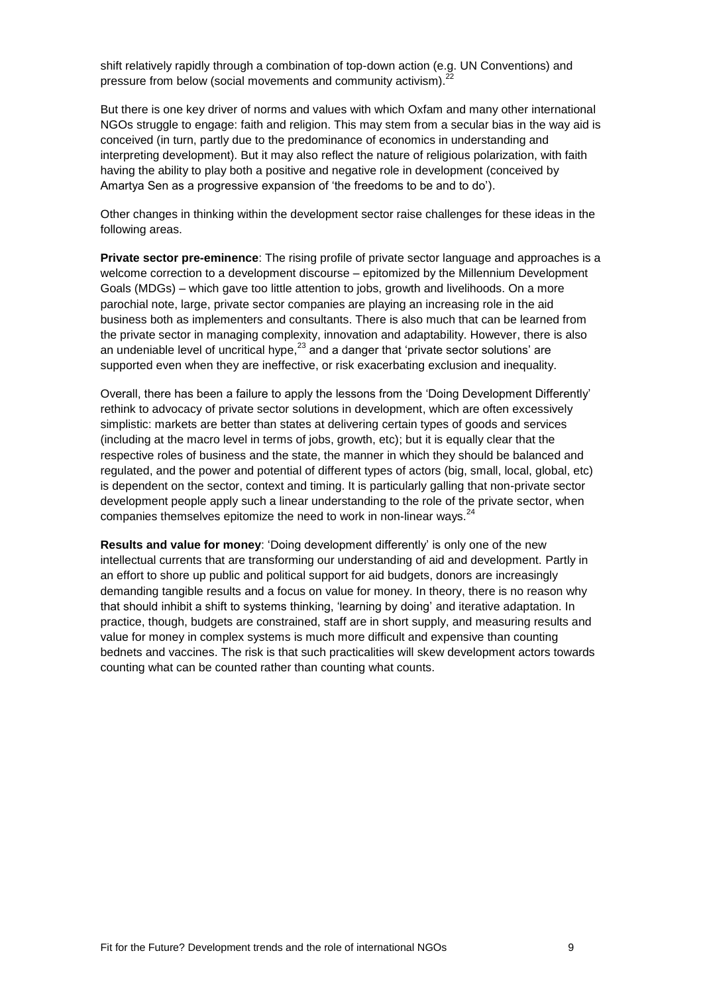shift relatively rapidly through a combination of top-down action (e.g. UN Conventions) and pressure from below (social movements and community activism).

But there is one key driver of norms and values with which Oxfam and many other international NGOs struggle to engage: faith and religion. This may stem from a secular bias in the way aid is conceived (in turn, partly due to the predominance of economics in understanding and interpreting development). But it may also reflect the nature of religious polarization, with faith having the ability to play both a positive and negative role in development (conceived by Amartya Sen as a progressive expansion of 'the freedoms to be and to do').

Other changes in thinking within the development sector raise challenges for these ideas in the following areas.

**Private sector pre-eminence**: The rising profile of private sector language and approaches is a welcome correction to a development discourse – epitomized by the Millennium Development Goals (MDGs) – which gave too little attention to jobs, growth and livelihoods. On a more parochial note, large, private sector companies are playing an increasing role in the aid business both as implementers and consultants. There is also much that can be learned from the private sector in managing complexity, innovation and adaptability. However, there is also an undeniable level of uncritical hype, $^{23}$  and a danger that 'private sector solutions' are supported even when they are ineffective, or risk exacerbating exclusion and inequality.

Overall, there has been a failure to apply the lessons from the 'Doing Development Differently' rethink to advocacy of private sector solutions in development, which are often excessively simplistic: markets are better than states at delivering certain types of goods and services (including at the macro level in terms of jobs, growth, etc); but it is equally clear that the respective roles of business and the state, the manner in which they should be balanced and regulated, and the power and potential of different types of actors (big, small, local, global, etc) is dependent on the sector, context and timing. It is particularly galling that non-private sector development people apply such a linear understanding to the role of the private sector, when companies themselves epitomize the need to work in non-linear ways. $24$ 

**Results and value for money**: ‗Doing development differently' is only one of the new intellectual currents that are transforming our understanding of aid and development. Partly in an effort to shore up public and political support for aid budgets, donors are increasingly demanding tangible results and a focus on value for money. In theory, there is no reason why that should inhibit a shift to systems thinking, 'learning by doing' and iterative adaptation. In practice, though, budgets are constrained, staff are in short supply, and measuring results and value for money in complex systems is much more difficult and expensive than counting bednets and vaccines. The risk is that such practicalities will skew development actors towards counting what can be counted rather than counting what counts.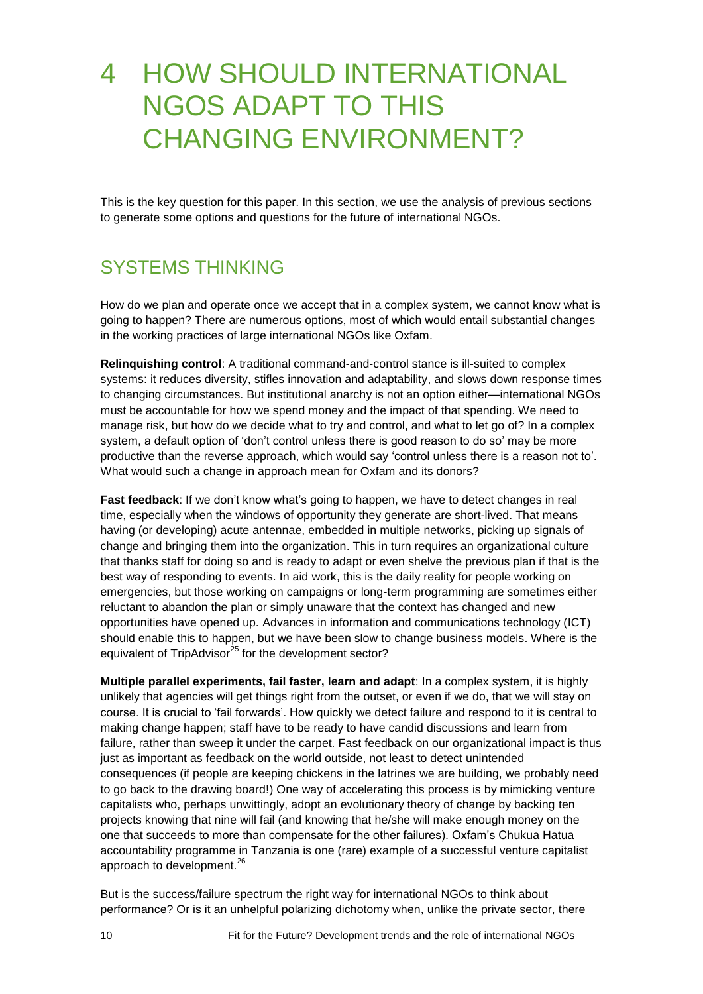### 4 HOW SHOULD INTERNATIONAL NGOS ADAPT TO THIS CHANGING ENVIRONMENT?

This is the key question for this paper. In this section, we use the analysis of previous sections to generate some options and questions for the future of international NGOs.

#### SYSTEMS THINKING

How do we plan and operate once we accept that in a complex system, we cannot know what is going to happen? There are numerous options, most of which would entail substantial changes in the working practices of large international NGOs like Oxfam.

**Relinquishing control**: A traditional command-and-control stance is ill-suited to complex systems: it reduces diversity, stifles innovation and adaptability, and slows down response times to changing circumstances. But institutional anarchy is not an option either—international NGOs must be accountable for how we spend money and the impact of that spending. We need to manage risk, but how do we decide what to try and control, and what to let go of? In a complex system, a default option of 'don't control unless there is good reason to do so' may be more productive than the reverse approach, which would say 'control unless there is a reason not to'. What would such a change in approach mean for Oxfam and its donors?

**Fast feedback**: If we don't know what's going to happen, we have to detect changes in real time, especially when the windows of opportunity they generate are short-lived. That means having (or developing) acute antennae, embedded in multiple networks, picking up signals of change and bringing them into the organization. This in turn requires an organizational culture that thanks staff for doing so and is ready to adapt or even shelve the previous plan if that is the best way of responding to events. In aid work, this is the daily reality for people working on emergencies, but those working on campaigns or long-term programming are sometimes either reluctant to abandon the plan or simply unaware that the context has changed and new opportunities have opened up. Advances in information and communications technology (ICT) should enable this to happen, but we have been slow to change business models. Where is the equivalent of TripAdvisor<sup>25</sup> for the development sector?

**Multiple parallel experiments, fail faster, learn and adapt**: In a complex system, it is highly unlikely that agencies will get things right from the outset, or even if we do, that we will stay on course. It is crucial to 'fail forwards'. How quickly we detect failure and respond to it is central to making change happen; staff have to be ready to have candid discussions and learn from failure, rather than sweep it under the carpet. Fast feedback on our organizational impact is thus just as important as feedback on the world outside, not least to detect unintended consequences (if people are keeping chickens in the latrines we are building, we probably need to go back to the drawing board!) One way of accelerating this process is by mimicking venture capitalists who, perhaps unwittingly, adopt an evolutionary theory of change by backing ten projects knowing that nine will fail (and knowing that he/she will make enough money on the one that succeeds to more than compensate for the other failures). Oxfam's Chukua Hatua accountability programme in Tanzania is one (rare) example of a successful venture capitalist approach to development.<sup>26</sup>

But is the success/failure spectrum the right way for international NGOs to think about performance? Or is it an unhelpful polarizing dichotomy when, unlike the private sector, there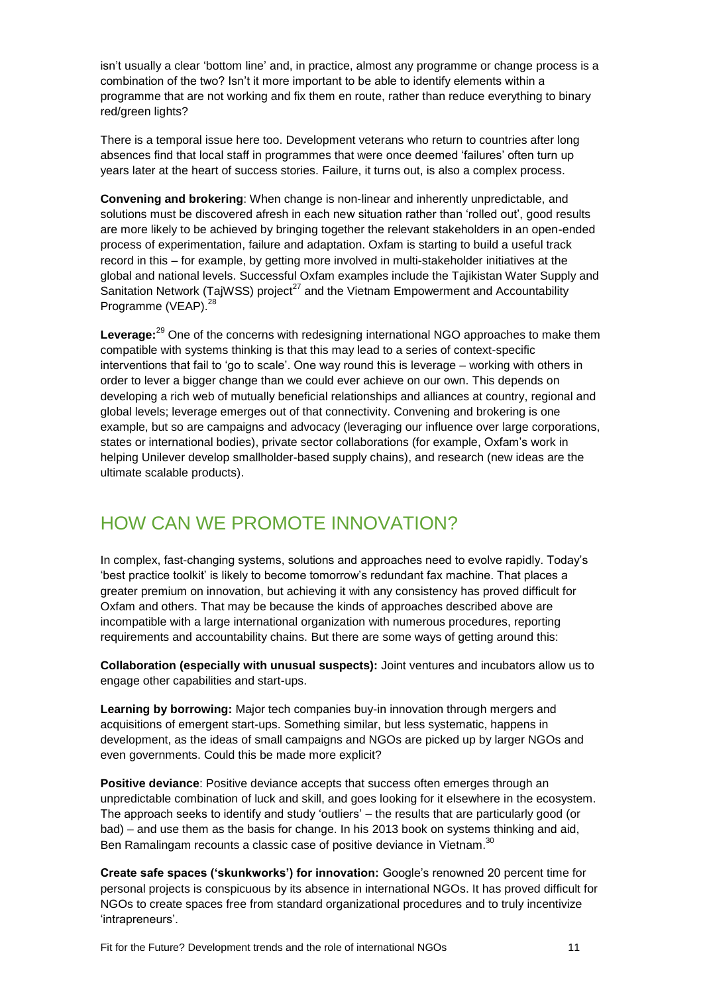isn't usually a clear ‗bottom line' and, in practice, almost any programme or change process is a combination of the two? Isn't it more important to be able to identify elements within a programme that are not working and fix them en route, rather than reduce everything to binary red/green lights?

There is a temporal issue here too. Development veterans who return to countries after long absences find that local staff in programmes that were once deemed 'failures' often turn up years later at the heart of success stories. Failure, it turns out, is also a complex process.

**Convening and brokering**: When change is non-linear and inherently unpredictable, and solutions must be discovered afresh in each new situation rather than 'rolled out', good results are more likely to be achieved by bringing together the relevant stakeholders in an open-ended process of experimentation, failure and adaptation. Oxfam is starting to build a useful track record in this – for example, by getting more involved in multi-stakeholder initiatives at the global and national levels. Successful Oxfam examples include the Tajikistan Water Supply and Sanitation Network (TajWSS) project<sup>27</sup> and the Vietnam Empowerment and Accountability Programme (VEAP).<sup>28</sup>

Leverage:<sup>29</sup> One of the concerns with redesigning international NGO approaches to make them compatible with systems thinking is that this may lead to a series of context-specific interventions that fail to 'go to scale'. One way round this is leverage – working with others in order to lever a bigger change than we could ever achieve on our own. This depends on developing a rich web of mutually beneficial relationships and alliances at country, regional and global levels; leverage emerges out of that connectivity. Convening and brokering is one example, but so are campaigns and advocacy (leveraging our influence over large corporations, states or international bodies), private sector collaborations (for example, Oxfam's work in helping Unilever develop smallholder-based supply chains), and research (new ideas are the ultimate scalable products).

#### HOW CAN WE PROMOTE INNOVATION?

In complex, fast-changing systems, solutions and approaches need to evolve rapidly. Today's ‗best practice toolkit' is likely to become tomorrow's redundant fax machine. That places a greater premium on innovation, but achieving it with any consistency has proved difficult for Oxfam and others. That may be because the kinds of approaches described above are incompatible with a large international organization with numerous procedures, reporting requirements and accountability chains. But there are some ways of getting around this:

**Collaboration (especially with unusual suspects):** Joint ventures and incubators allow us to engage other capabilities and start-ups.

**Learning by borrowing:** Major tech companies buy-in innovation through mergers and acquisitions of emergent start-ups. Something similar, but less systematic, happens in development, as the ideas of small campaigns and NGOs are picked up by larger NGOs and even governments. Could this be made more explicit?

**Positive deviance**: Positive deviance accepts that success often emerges through an unpredictable combination of luck and skill, and goes looking for it elsewhere in the ecosystem. The approach seeks to identify and study 'outliers' – the results that are particularly good (or bad) – and use them as the basis for change. In his 2013 book on systems thinking and aid, Ben Ramalingam recounts a classic case of positive deviance in Vietnam.<sup>30</sup>

**Create safe spaces ('skunkworks') for innovation:** Google's renowned 20 percent time for personal projects is conspicuous by its absence in international NGOs. It has proved difficult for NGOs to create spaces free from standard organizational procedures and to truly incentivize ‗intrapreneurs'.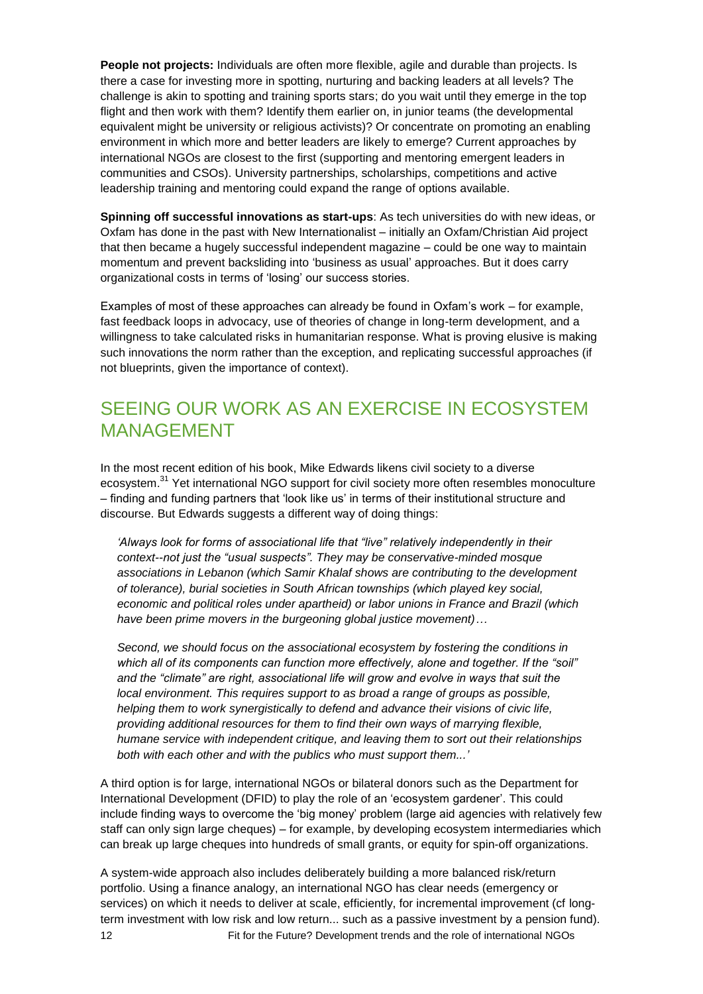**People not projects:** Individuals are often more flexible, agile and durable than projects. Is there a case for investing more in spotting, nurturing and backing leaders at all levels? The challenge is akin to spotting and training sports stars; do you wait until they emerge in the top flight and then work with them? Identify them earlier on, in junior teams (the developmental equivalent might be university or religious activists)? Or concentrate on promoting an enabling environment in which more and better leaders are likely to emerge? Current approaches by international NGOs are closest to the first (supporting and mentoring emergent leaders in communities and CSOs). University partnerships, scholarships, competitions and active leadership training and mentoring could expand the range of options available.

**Spinning off successful innovations as start-ups**: As tech universities do with new ideas, or Oxfam has done in the past with New Internationalist – initially an Oxfam/Christian Aid project that then became a hugely successful independent magazine – could be one way to maintain momentum and prevent backsliding into 'business as usual' approaches. But it does carry organizational costs in terms of 'losing' our success stories.

Examples of most of these approaches can already be found in Oxfam's work – for example, fast feedback loops in advocacy, use of theories of change in long-term development, and a willingness to take calculated risks in humanitarian response. What is proving elusive is making such innovations the norm rather than the exception, and replicating successful approaches (if not blueprints, given the importance of context).

### SEEING OUR WORK AS AN EXERCISE IN ECOSYSTEM MANAGEMENT

In the most recent edition of his book, Mike Edwards likens civil society to a diverse ecosystem.<sup>31</sup> Yet international NGO support for civil society more often resembles monoculture – finding and funding partners that ‗look like us' in terms of their institutional structure and discourse. But Edwards suggests a different way of doing things:

*"Always look for forms of associational life that "live" relatively independently in their context--not just the "usual suspects". They may be conservative-minded mosque associations in Lebanon (which Samir Khalaf shows are contributing to the development of tolerance), burial societies in South African townships (which played key social, economic and political roles under apartheid) or labor unions in France and Brazil (which have been prime movers in the burgeoning global justice movement)…*

*Second, we should focus on the associational ecosystem by fostering the conditions in which all of its components can function more effectively, alone and together. If the "soil" and the "climate" are right, associational life will grow and evolve in ways that suit the local environment. This requires support to as broad a range of groups as possible, helping them to work synergistically to defend and advance their visions of civic life, providing additional resources for them to find their own ways of marrying flexible, humane service with independent critique, and leaving them to sort out their relationships both with each other and with the publics who must support them..."*

A third option is for large, international NGOs or bilateral donors such as the Department for International Development (DFID) to play the role of an 'ecosystem gardener'. This could include finding ways to overcome the 'big money' problem (large aid agencies with relatively few staff can only sign large cheques) – for example, by developing ecosystem intermediaries which can break up large cheques into hundreds of small grants, or equity for spin-off organizations.

12 Fit for the Future? Development trends and the role of international NGOs A system-wide approach also includes deliberately building a more balanced risk/return portfolio. Using a finance analogy, an international NGO has clear needs (emergency or services) on which it needs to deliver at scale, efficiently, for incremental improvement (cf longterm investment with low risk and low return... such as a passive investment by a pension fund).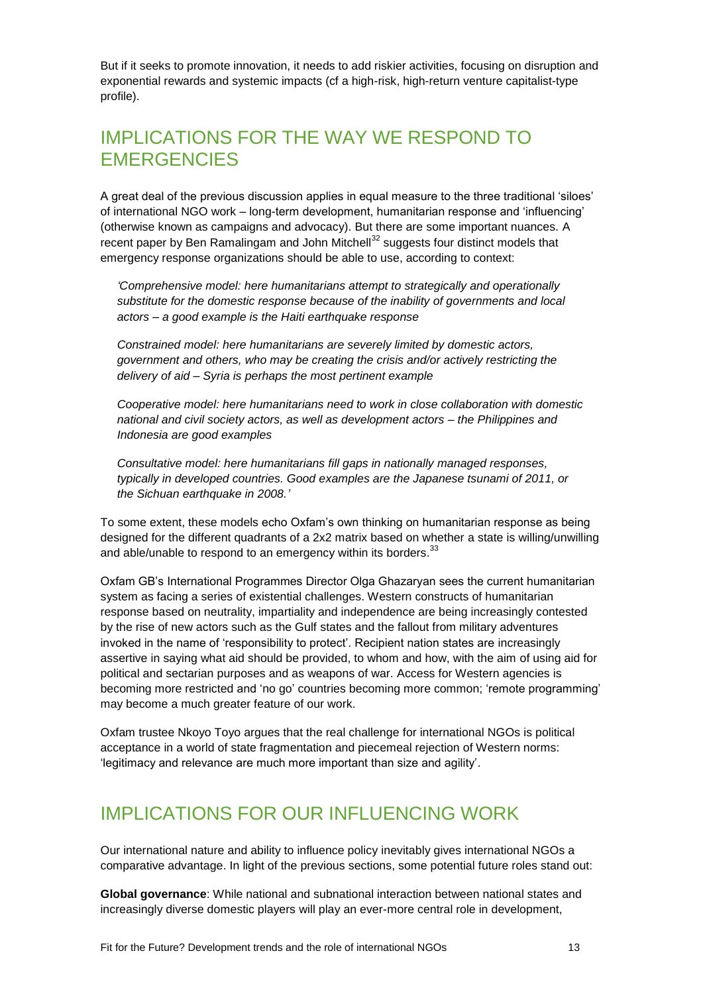But if it seeks to promote innovation, it needs to add riskier activities, focusing on disruption and exponential rewards and systemic impacts (cf a high-risk, high-return venture capitalist-type profile).

#### IMPLICATIONS FOR THE WAY WE RESPOND TO **EMERGENCIES**

A great deal of the previous discussion applies in equal measure to the three traditional 'siloes' of international NGO work – long-term development, humanitarian response and 'influencing' (otherwise known as campaigns and advocacy). But there are some important nuances. A recent paper by Ben Ramalingam and John Mitchell $32$  suggests four distinct models that emergency response organizations should be able to use, according to context:

*"Comprehensive model: here humanitarians attempt to strategically and operationally substitute for the domestic response because of the inability of governments and local actors – a good example is the Haiti earthquake response*

*Constrained model: here humanitarians are severely limited by domestic actors, government and others, who may be creating the crisis and/or actively restricting the delivery of aid – Syria is perhaps the most pertinent example*

*Cooperative model: here humanitarians need to work in close collaboration with domestic national and civil society actors, as well as development actors – the Philippines and Indonesia are good examples*

*Consultative model: here humanitarians fill gaps in nationally managed responses, typically in developed countries. Good examples are the Japanese tsunami of 2011, or the Sichuan earthquake in 2008."*

To some extent, these models echo Oxfam's own thinking on humanitarian response as being designed for the different quadrants of a 2x2 matrix based on whether a state is willing/unwilling and able/unable to respond to an emergency within its borders.<sup>33</sup>

Oxfam GB's International Programmes Director Olga Ghazaryan sees the current humanitarian system as facing a series of existential challenges. Western constructs of humanitarian response based on neutrality, impartiality and independence are being increasingly contested by the rise of new actors such as the Gulf states and the fallout from military adventures invoked in the name of 'responsibility to protect'. Recipient nation states are increasingly assertive in saying what aid should be provided, to whom and how, with the aim of using aid for political and sectarian purposes and as weapons of war. Access for Western agencies is becoming more restricted and 'no go' countries becoming more common; 'remote programming' may become a much greater feature of our work.

Oxfam trustee Nkoyo Toyo argues that the real challenge for international NGOs is political acceptance in a world of state fragmentation and piecemeal rejection of Western norms: 'legitimacy and relevance are much more important than size and agility'.

#### IMPLICATIONS FOR OUR INFLUENCING WORK

Our international nature and ability to influence policy inevitably gives international NGOs a comparative advantage. In light of the previous sections, some potential future roles stand out:

**Global governance**: While national and subnational interaction between national states and increasingly diverse domestic players will play an ever-more central role in development,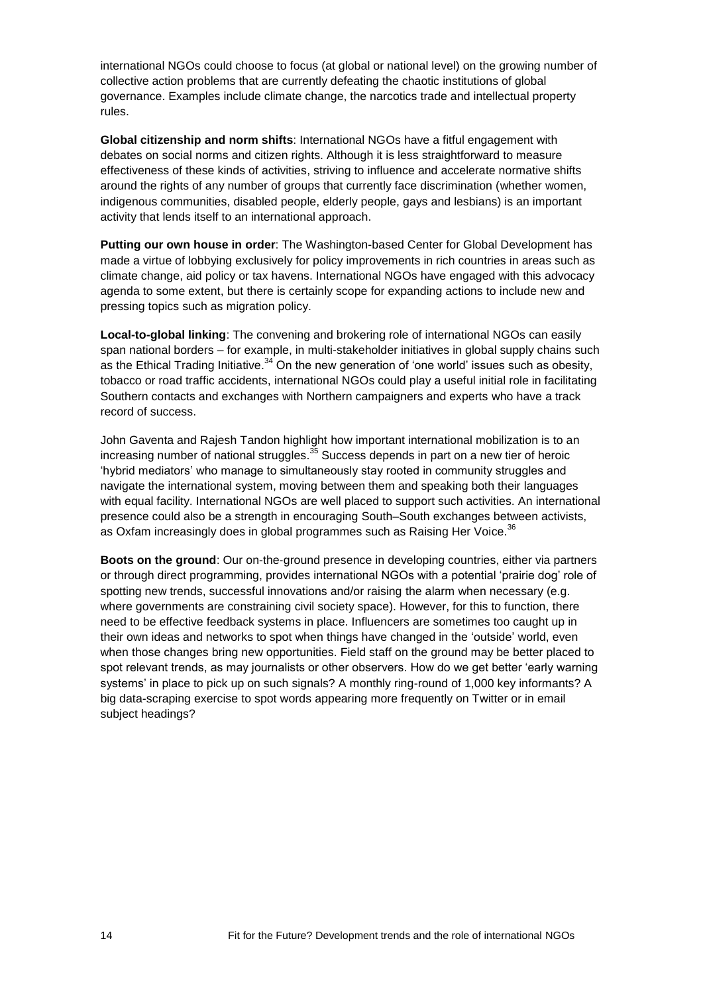international NGOs could choose to focus (at global or national level) on the growing number of collective action problems that are currently defeating the chaotic institutions of global governance. Examples include climate change, the narcotics trade and intellectual property rules.

**Global citizenship and norm shifts**: International NGOs have a fitful engagement with debates on social norms and citizen rights. Although it is less straightforward to measure effectiveness of these kinds of activities, striving to influence and accelerate normative shifts around the rights of any number of groups that currently face discrimination (whether women, indigenous communities, disabled people, elderly people, gays and lesbians) is an important activity that lends itself to an international approach.

**Putting our own house in order**: The Washington-based Center for Global Development has made a virtue of lobbying exclusively for policy improvements in rich countries in areas such as climate change, aid policy or tax havens. International NGOs have engaged with this advocacy agenda to some extent, but there is certainly scope for expanding actions to include new and pressing topics such as migration policy.

**Local-to-global linking**: The convening and brokering role of international NGOs can easily span national borders – for example, in multi-stakeholder initiatives in global supply chains such as the Ethical Trading Initiative.<sup>34</sup> On the new generation of 'one world' issues such as obesity, tobacco or road traffic accidents, international NGOs could play a useful initial role in facilitating Southern contacts and exchanges with Northern campaigners and experts who have a track record of success.

John Gaventa and Rajesh Tandon highlight how important international mobilization is to an increasing number of national struggles.<sup>35</sup> Success depends in part on a new tier of heroic ‗hybrid mediators' who manage to simultaneously stay rooted in community struggles and navigate the international system, moving between them and speaking both their languages with equal facility. International NGOs are well placed to support such activities. An international presence could also be a strength in encouraging South–South exchanges between activists, as Oxfam increasingly does in global programmes such as Raising Her Voice.<sup>36</sup>

**Boots on the ground**: Our on-the-ground presence in developing countries, either via partners or through direct programming, provides international NGOs with a potential 'prairie dog' role of spotting new trends, successful innovations and/or raising the alarm when necessary (e.g. where governments are constraining civil society space). However, for this to function, there need to be effective feedback systems in place. Influencers are sometimes too caught up in their own ideas and networks to spot when things have changed in the 'outside' world, even when those changes bring new opportunities. Field staff on the ground may be better placed to spot relevant trends, as may journalists or other observers. How do we get better 'early warning systems' in place to pick up on such signals? A monthly ring-round of 1,000 key informants? A big data-scraping exercise to spot words appearing more frequently on Twitter or in email subject headings?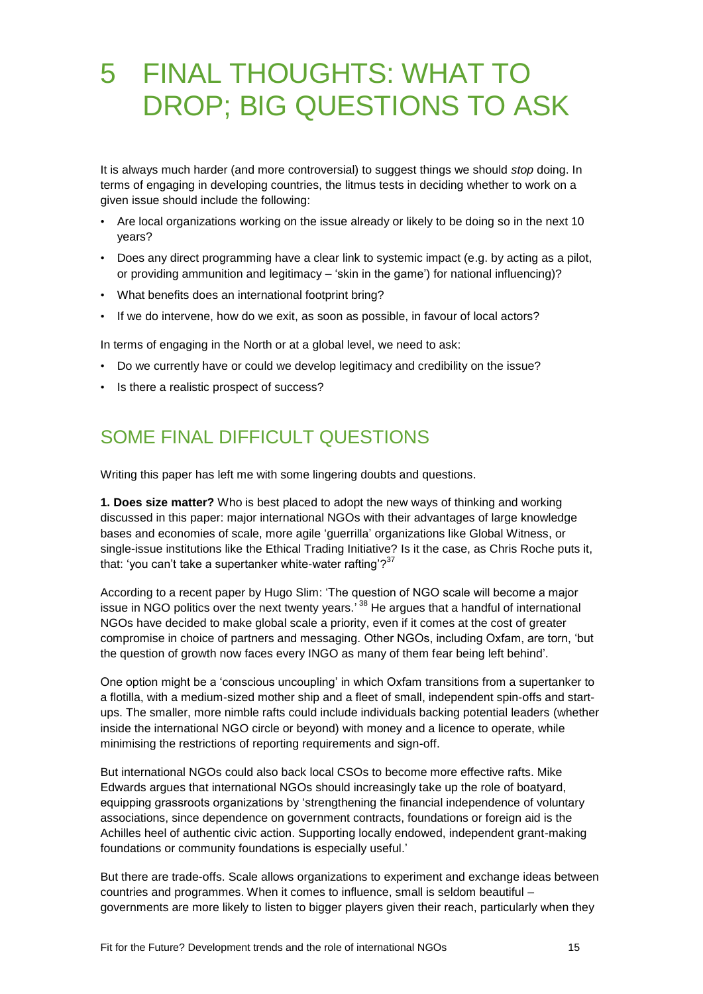# 5 FINAL THOUGHTS: WHAT TO DROP; BIG QUESTIONS TO ASK

It is always much harder (and more controversial) to suggest things we should *stop* doing. In terms of engaging in developing countries, the litmus tests in deciding whether to work on a given issue should include the following:

- Are local organizations working on the issue already or likely to be doing so in the next 10 years?
- Does any direct programming have a clear link to systemic impact (e.g. by acting as a pilot, or providing ammunition and legitimacy – 'skin in the game') for national influencing)?
- What benefits does an international footprint bring?
- If we do intervene, how do we exit, as soon as possible, in favour of local actors?

In terms of engaging in the North or at a global level, we need to ask:

- Do we currently have or could we develop legitimacy and credibility on the issue?
- Is there a realistic prospect of success?

#### SOME FINAL DIFFICULT QUESTIONS

Writing this paper has left me with some lingering doubts and questions.

**1. Does size matter?** Who is best placed to adopt the new ways of thinking and working discussed in this paper: major international NGOs with their advantages of large knowledge bases and economies of scale, more agile ‗guerrilla' organizations like Global Witness, or single-issue institutions like the Ethical Trading Initiative? Is it the case, as Chris Roche puts it, that: 'you can't take a supertanker white-water rafting'?<sup>37</sup>

According to a recent paper by Hugo Slim: ‗The question of NGO scale will become a major issue in NGO politics over the next twenty years.<sup>' 38</sup> He argues that a handful of international NGOs have decided to make global scale a priority, even if it comes at the cost of greater compromise in choice of partners and messaging. Other NGOs, including Oxfam, are torn, 'but the question of growth now faces every INGO as many of them fear being left behind'.

One option might be a ‗conscious uncoupling' in which Oxfam transitions from a supertanker to a flotilla, with a medium-sized mother ship and a fleet of small, independent spin-offs and startups. The smaller, more nimble rafts could include individuals backing potential leaders (whether inside the international NGO circle or beyond) with money and a licence to operate, while minimising the restrictions of reporting requirements and sign-off.

But international NGOs could also back local CSOs to become more effective rafts. Mike Edwards argues that international NGOs should increasingly take up the role of boatyard, equipping grassroots organizations by 'strengthening the financial independence of voluntary associations, since dependence on government contracts, foundations or foreign aid is the Achilles heel of authentic civic action. Supporting locally endowed, independent grant-making foundations or community foundations is especially useful.'

But there are trade-offs. Scale allows organizations to experiment and exchange ideas between countries and programmes. When it comes to influence, small is seldom beautiful – governments are more likely to listen to bigger players given their reach, particularly when they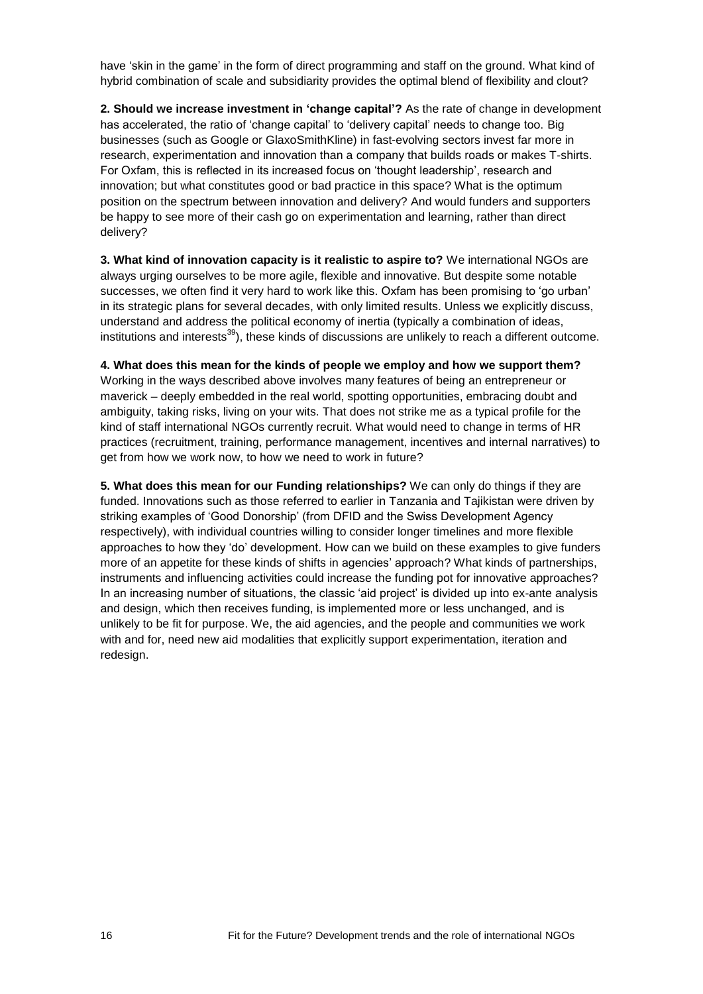have 'skin in the game' in the form of direct programming and staff on the ground. What kind of hybrid combination of scale and subsidiarity provides the optimal blend of flexibility and clout?

**2. Should we increase investment in 'change capital'?** As the rate of change in development has accelerated, the ratio of 'change capital' to 'delivery capital' needs to change too. Big businesses (such as Google or GlaxoSmithKline) in fast-evolving sectors invest far more in research, experimentation and innovation than a company that builds roads or makes T-shirts. For Oxfam, this is reflected in its increased focus on 'thought leadership', research and innovation; but what constitutes good or bad practice in this space? What is the optimum position on the spectrum between innovation and delivery? And would funders and supporters be happy to see more of their cash go on experimentation and learning, rather than direct delivery?

**3. What kind of innovation capacity is it realistic to aspire to?** We international NGOs are always urging ourselves to be more agile, flexible and innovative. But despite some notable successes, we often find it very hard to work like this. Oxfam has been promising to 'go urban' in its strategic plans for several decades, with only limited results. Unless we explicitly discuss, understand and address the political economy of inertia (typically a combination of ideas, institutions and interests<sup>39</sup>), these kinds of discussions are unlikely to reach a different outcome.

#### **4. What does this mean for the kinds of people we employ and how we support them?**

Working in the ways described above involves many features of being an entrepreneur or maverick – deeply embedded in the real world, spotting opportunities, embracing doubt and ambiguity, taking risks, living on your wits. That does not strike me as a typical profile for the kind of staff international NGOs currently recruit. What would need to change in terms of HR practices (recruitment, training, performance management, incentives and internal narratives) to get from how we work now, to how we need to work in future?

**5. What does this mean for our Funding relationships?** We can only do things if they are funded. Innovations such as those referred to earlier in Tanzania and Tajikistan were driven by striking examples of 'Good Donorship' (from DFID and the Swiss Development Agency respectively), with individual countries willing to consider longer timelines and more flexible approaches to how they 'do' development. How can we build on these examples to give funders more of an appetite for these kinds of shifts in agencies' approach? What kinds of partnerships, instruments and influencing activities could increase the funding pot for innovative approaches? In an increasing number of situations, the classic 'aid project' is divided up into ex-ante analysis and design, which then receives funding, is implemented more or less unchanged, and is unlikely to be fit for purpose. We, the aid agencies, and the people and communities we work with and for, need new aid modalities that explicitly support experimentation, iteration and redesign.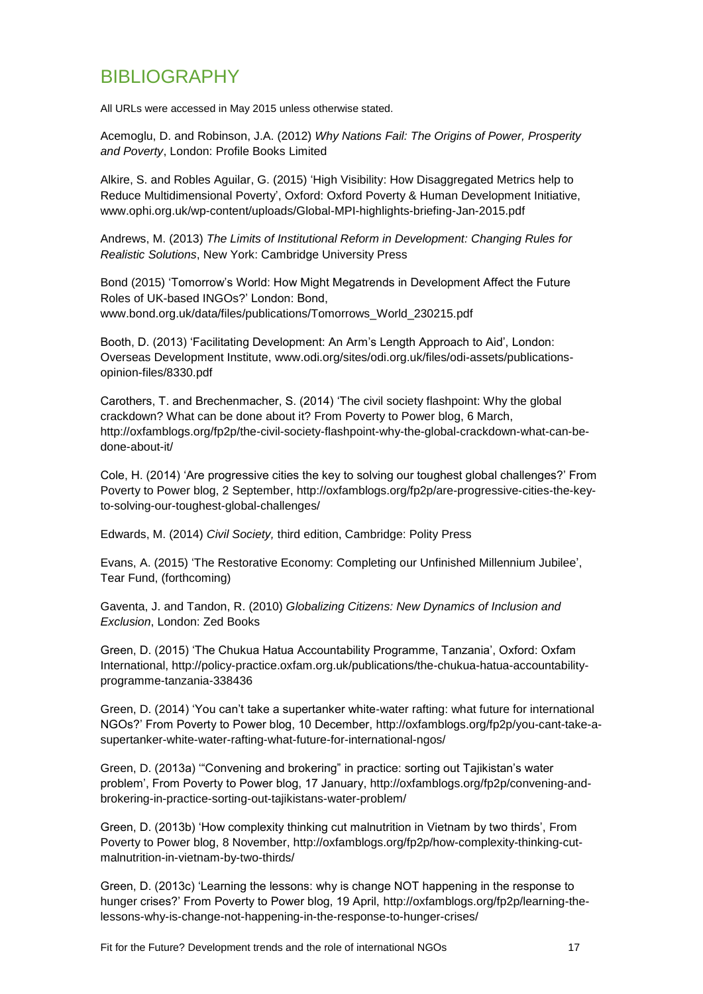#### BIBLIOGRAPHY

All URLs were accessed in May 2015 unless otherwise stated.

Acemoglu, D. and Robinson, J.A. (2012) *Why Nations Fail: The Origins of Power, Prosperity and Poverty*, London: Profile Books Limited

Alkire, S. and Robles Aguilar, G. (2015) ‗High Visibility: How Disaggregated Metrics help to Reduce Multidimensional Poverty', Oxford: Oxford Poverty & Human Development Initiative, www.ophi.org.uk/wp-content/uploads/Global-MPI-highlights-briefing-Jan-2015.pdf

Andrews, M. (2013) *The Limits of Institutional Reform in Development: Changing Rules for Realistic Solutions*, New York: Cambridge University Press

Bond (2015) ‗Tomorrow's World: How Might Megatrends in Development Affect the Future Roles of UK-based INGOs?' London: Bond, www.bond.org.uk/data/files/publications/Tomorrows\_World\_230215.pdf

Booth, D. (2013) 'Facilitating Development: An Arm's Length Approach to Aid', London: Overseas Development Institute, [www.odi.org/sites/odi.org.uk/files/odi-assets/publications](http://www.odi.org/sites/odi.org.uk/files/odi-assets/publications-opinion-files/8330.pdf)[opinion-files/8330.pdf](http://www.odi.org/sites/odi.org.uk/files/odi-assets/publications-opinion-files/8330.pdf)

Carothers, T. and Brechenmacher, S. (2014) ‗The civil society flashpoint: Why the global crackdown? What can be done about it? From Poverty to Power blog, 6 March, [http://oxfamblogs.org/fp2p/the-civil-society-flashpoint-why-the-global-crackdown-what-can-be](http://oxfamblogs.org/fp2p/the-civil-society-flashpoint-why-the-global-crackdown-what-can-be-done-about-it/)[done-about-it/](http://oxfamblogs.org/fp2p/the-civil-society-flashpoint-why-the-global-crackdown-what-can-be-done-about-it/)

Cole, H. (2014) 'Are progressive cities the key to solving our toughest global challenges?' From Poverty to Power blog, 2 September, [http://oxfamblogs.org/fp2p/are-progressive-cities-the-key](http://oxfamblogs.org/fp2p/are-progressive-cities-the-key-to-solving-our-toughest-global-challenges/)[to-solving-our-toughest-global-challenges/](http://oxfamblogs.org/fp2p/are-progressive-cities-the-key-to-solving-our-toughest-global-challenges/)

Edwards, M. (2014) *Civil Society,* third edition, Cambridge: Polity Press

Evans, A. (2015) ‗The Restorative Economy: Completing our Unfinished Millennium Jubilee', Tear Fund, (forthcoming)

Gaventa, J. and Tandon, R. (2010) *Globalizing Citizens: New Dynamics of Inclusion and Exclusion*, London: Zed Books

Green, D. (2015) ‗The Chukua Hatua Accountability Programme, Tanzania', Oxford: Oxfam International, [http://policy-practice.oxfam.org.uk/publications/the-chukua-hatua-accountability](http://policy-practice.oxfam.org.uk/publications/the-chukua-hatua-accountability-programme-tanzania-338436)[programme-tanzania-338436](http://policy-practice.oxfam.org.uk/publications/the-chukua-hatua-accountability-programme-tanzania-338436)

Green, D. (2014) ‗You can't take a supertanker white-water rafting: what future for international NGOs?' From Poverty to Power blog, 10 December, http://oxfamblogs.org/fp2p/you-cant-take-asupertanker-white-water-rafting-what-future-for-international-ngos/

Green, D. (2013a) "Convening and brokering" in practice: sorting out Tajikistan's water problem', From Poverty to Power blog, 17 January, [http://oxfamblogs.org/fp2p/convening-and](http://oxfamblogs.org/fp2p/convening-and-brokering-in-practice-sorting-out-tajikistans-water-problem/)[brokering-in-practice-sorting-out-tajikistans-water-problem/](http://oxfamblogs.org/fp2p/convening-and-brokering-in-practice-sorting-out-tajikistans-water-problem/)

Green, D. (2013b) 'How complexity thinking cut malnutrition in Vietnam by two thirds', From Poverty to Power blog, 8 November, [http://oxfamblogs.org/fp2p/how-complexity-thinking-cut](http://oxfamblogs.org/fp2p/how-complexity-thinking-cut-malnutrition-in-vietnam-by-two-thirds/)[malnutrition-in-vietnam-by-two-thirds/](http://oxfamblogs.org/fp2p/how-complexity-thinking-cut-malnutrition-in-vietnam-by-two-thirds/)

Green, D. (2013c) ‗Learning the lessons: why is change NOT happening in the response to hunger crises?' From Poverty to Power blog, 19 April, http://oxfamblogs.org/fp2p/learning-thelessons-why-is-change-not-happening-in-the-response-to-hunger-crises/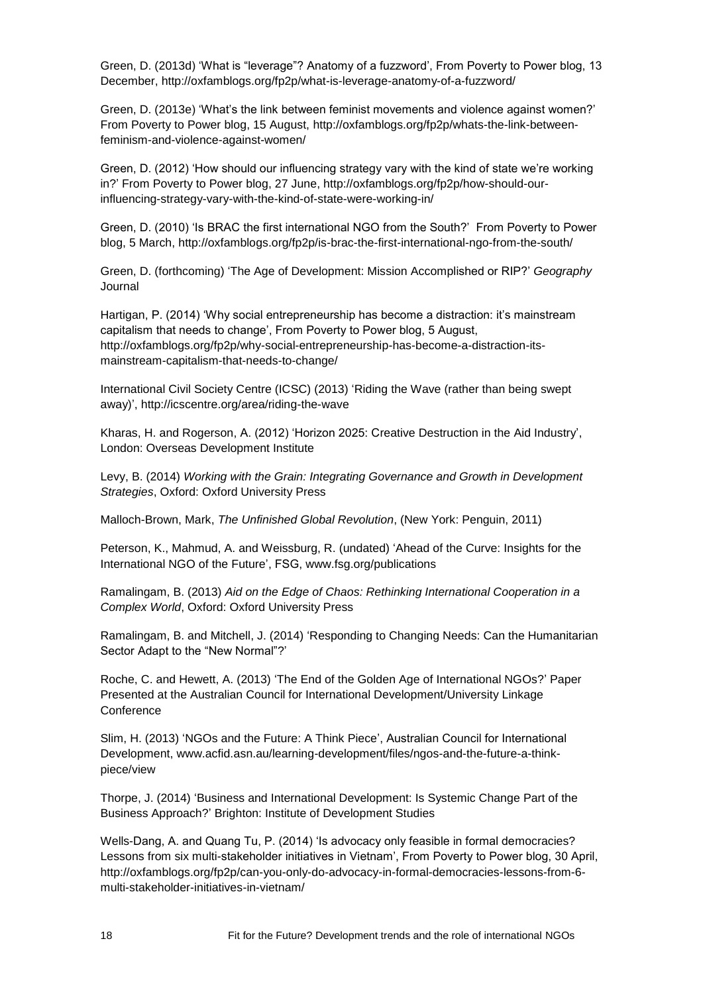Green, D. (2013d) 'What is "leverage"? Anatomy of a fuzzword', From Poverty to Power blog, 13 December, http://oxfamblogs.org/fp2p/what-is-leverage-anatomy-of-a-fuzzword/

Green, D. (2013e) ‗What's the link between feminist movements and violence against women?' From Poverty to Power blog, 15 August, [http://oxfamblogs.org/fp2p/whats-the-link-between](http://oxfamblogs.org/fp2p/whats-the-link-between-feminism-and-violence-against-women/)[feminism-and-violence-against-women/](http://oxfamblogs.org/fp2p/whats-the-link-between-feminism-and-violence-against-women/)

Green, D. (2012) ‗How should our influencing strategy vary with the kind of state we're working in?' From Poverty to Power blog, 27 June, http://oxfamblogs.org/fp2p/how-should-ourinfluencing-strategy-vary-with-the-kind-of-state-were-working-in/

Green, D. (2010) 'Is BRAC the first international NGO from the South?' From Poverty to Power blog, 5 March,<http://oxfamblogs.org/fp2p/is-brac-the-first-international-ngo-from-the-south/>

Green, D. (forthcoming) ‗The Age of Development: Mission Accomplished or RIP?' *Geography* Journal

Hartigan, P. (2014) ‗Why social entrepreneurship has become a distraction: it's mainstream capitalism that needs to change', From Poverty to Power blog, 5 August, [http://oxfamblogs.org/fp2p/why-social-entrepreneurship-has-become-a-distraction-its](http://oxfamblogs.org/fp2p/why-social-entrepreneurship-has-become-a-distraction-its-mainstream-capitalism-that-needs-to-change/)[mainstream-capitalism-that-needs-to-change/](http://oxfamblogs.org/fp2p/why-social-entrepreneurship-has-become-a-distraction-its-mainstream-capitalism-that-needs-to-change/)

International Civil Society Centre (ICSC) (2013) 'Riding the Wave (rather than being swept away)',<http://icscentre.org/area/riding-the-wave>

Kharas, H. and Rogerson, A. (2012) ‗Horizon 2025: Creative Destruction in the Aid Industry', London: Overseas Development Institute

Levy, B. (2014) *Working with the Grain: Integrating Governance and Growth in Development Strategies*, Oxford: Oxford University Press

Malloch-Brown, Mark, *The Unfinished Global Revolution*, (New York: Penguin, 2011)

Peterson, K., Mahmud, A. and Weissburg, R. (undated) 'Ahead of the Curve: Insights for the International NGO of the Future', FSG, [www.fsg.org/publications](http://www.fsg.org/publications)

Ramalingam, B. (2013) *Aid on the Edge of Chaos: Rethinking International Cooperation in a Complex World*, Oxford: Oxford University Press

Ramalingam, B. and Mitchell, J. (2014) 'Responding to Changing Needs: Can the Humanitarian Sector Adapt to the "New Normal"?'

Roche, C. and Hewett, A. (2013) 'The End of the Golden Age of International NGOs?' Paper Presented at the Australian Council for International Development/University Linkage **Conference** 

Slim, H. (2013) 'NGOs and the Future: A Think Piece', Australian Council for International Development, www.acfid.asn.au/learning-development/files/ngos-and-the-future-a-thinkpiece/view

Thorpe, J. (2014) 'Business and International Development: Is Systemic Change Part of the Business Approach?' Brighton: Institute of Development Studies

Wells-Dang, A. and Quang Tu, P. (2014) 'Is advocacy only feasible in formal democracies? Lessons from six multi-stakeholder initiatives in Vietnam', From Poverty to Power blog, 30 April, [http://oxfamblogs.org/fp2p/can-you-only-do-advocacy-in-formal-democracies-lessons-from-6](http://oxfamblogs.org/fp2p/can-you-only-do-advocacy-in-formal-democracies-lessons-from-6-multi-stakeholder-initiatives-in-vietnam/) [multi-stakeholder-initiatives-in-vietnam/](http://oxfamblogs.org/fp2p/can-you-only-do-advocacy-in-formal-democracies-lessons-from-6-multi-stakeholder-initiatives-in-vietnam/)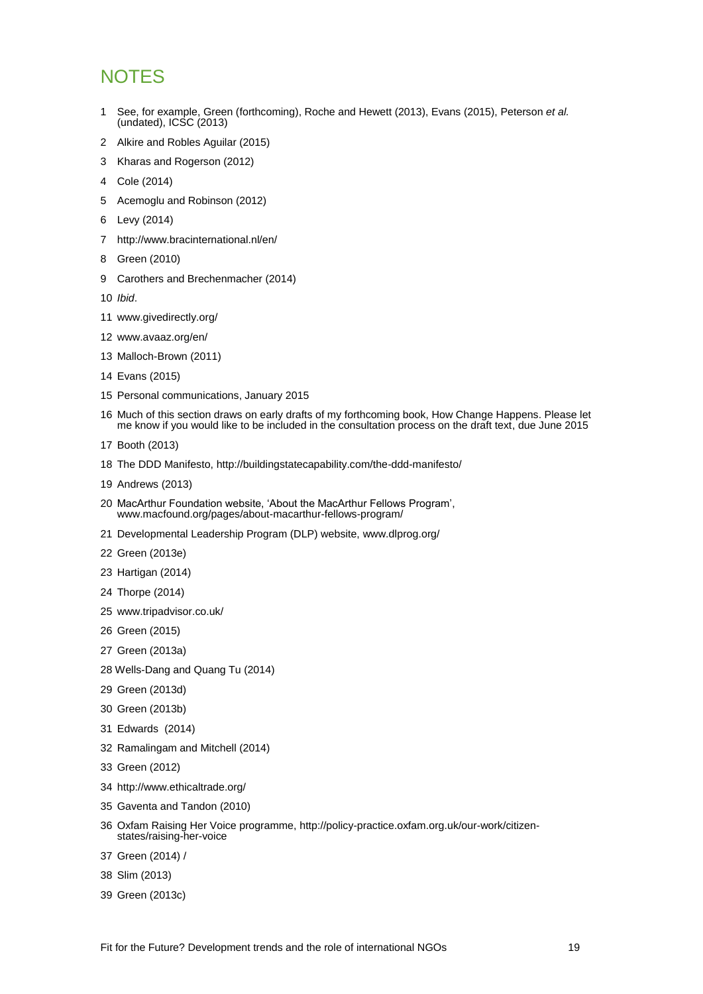### **NOTES**

- See, for example, Green (forthcoming), Roche and Hewett (2013), Evans (2015), Peterson *et al.* (undated), ICSC (2013)
- Alkire and Robles Aguilar (2015)
- Kharas and Rogerson (2012)
- Cole (2014)
- Acemoglu and Robinson (2012)
- Levy (2014)
- <http://www.bracinternational.nl/en/>
- Green (2010)
- Carothers and Brechenmacher (2014)
- *Ibid*.
- www.givedirectly.org/
- www.avaaz.org/en/
- Malloch-Brown (2011)
- Evans (2015)
- Personal communications, January 2015
- Much of this section draws on early drafts of my forthcoming book, How Change Happens. Please let me know if you would like to be included in the consultation process on the draft text, due June 2015
- Booth (2013)
- The DDD Manifesto,<http://buildingstatecapability.com/the-ddd-manifesto/>
- Andrews (2013)
- 20 MacArthur Foundation website, 'About the MacArthur Fellows Program', www.macfound.org/pages/about-macarthur-fellows-program/
- Developmental Leadership Program (DLP) website, www.dlprog.org/
- Green (2013e)
- Hartigan (2014)
- Thorpe (2014)
- www.tripadvisor.co.uk/
- Green (2015)
- Green (2013a)
- Wells-Dang and Quang Tu (2014)
- Green (2013d)
- Green (2013b)
- Edwards (2014)
- Ramalingam and Mitchell (2014)
- Green (2012)
- http://www.ethicaltrade.org/
- Gaventa and Tandon (2010)
- Oxfam Raising Her Voice programme, http://policy-practice.oxfam.org.uk/our-work/citizenstates/raising-her-voice
- Green (2014) /
- Slim (2013)
- Green (2013c)